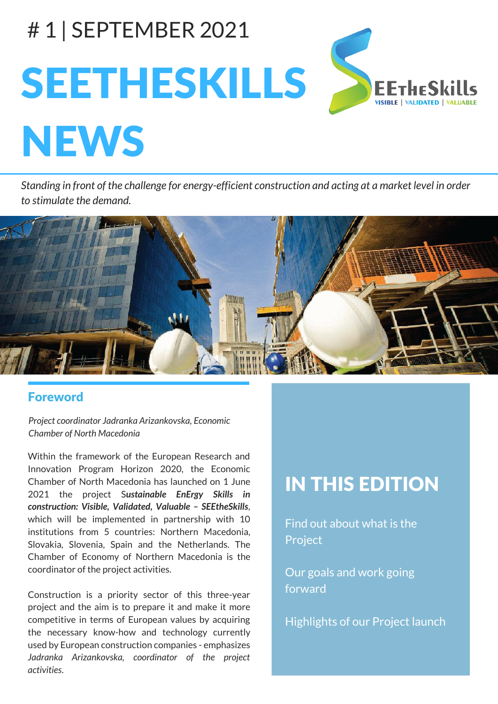# # 1 | SEPTEMBER 2021 SEETHESKILLS **NEWS**

Standing in front of the challenge for energy-efficient construction and acting at a market level in order *to stimulate the demand.*



### Foreword

*Project coordinator Jadranka Arizankovska, Economic Chamber of North Macedonia*

Within the framework of the European Research and Innovation Program Horizon 2020, the Economic Chamber of North Macedonia has launched on 1 June 2021 the project S*ustainable EnErgy Skills in construction: Visible, Validated, Valuable – SEEtheSkills*, which will be implemented in partnership with 10 institutions from 5 countries: Northern Macedonia, Slovakia, Slovenia, Spain and the Netherlands. The Chamber of Economy of Northern Macedonia is the coordinator of the project activities.

Construction is a priority sector of this three-year project and the aim is to prepare it and make it more competitive in terms of European values by acquiring the necessary know-how and technology currently used by European construction companies - emphasizes *Jadranka Arizankovska, coordinator of the project activities*.

# IN THIS EDITION

Find out about what is the Project

Our goals and work going forward

Highlights of our Project launch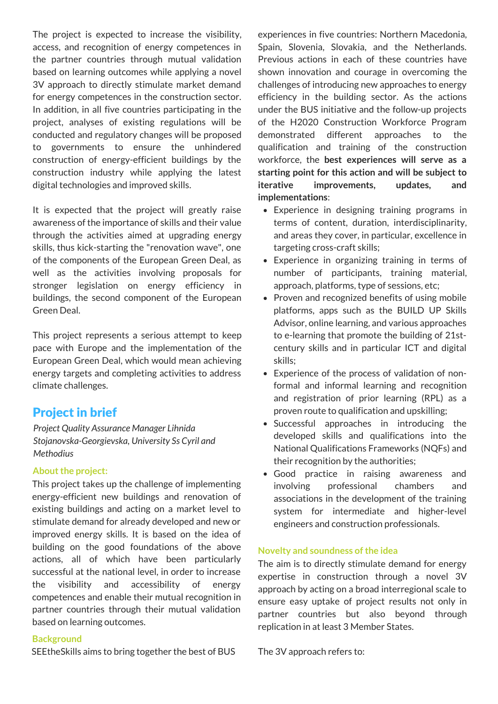The project is expected to increase the visibility, access, and recognition of energy competences in the partner countries through mutual validation based on learning outcomes while applying a novel 3V approach to directly stimulate market demand for energy competences in the construction sector. In addition, in all five countries participating in the project, analyses of existing regulations will be conducted and regulatory changes will be proposed to governments to ensure the unhindered construction of energy-efficient buildings by the construction industry while applying the latest digital technologies and improved skills.

It is expected that the project will greatly raise awareness of the importance of skills and their value through the activities aimed at upgrading energy skills, thus kick-starting the "renovation wave", one of the components of the European Green Deal, as well as the activities involving proposals for stronger legislation on energy efficiency in buildings, the second component of the European Green Deal.

This project represents a serious attempt to keep pace with Europe and the implementation of the European Green Deal, which would mean achieving energy targets and completing activities to address climate challenges.

## Project in brief

*Project Quality Assurance Manager Lihnida Stojanovska-Georgievska, University Ss Cyril and Methodius*

#### **About the project:**

This project takes up the challenge of implementing energy-efficient new buildings and renovation of existing buildings and acting on a market level to stimulate demand for already developed and new or improved energy skills. It is based on the idea of building on the good foundations of the above actions, all of which have been particularly successful at the national level, in order to increase the visibility and accessibility of energy competences and enable their mutual recognition in partner countries through their mutual validation based on learning outcomes.

#### **Background**

SEEtheSkills aims to bring together the best of BUS

experiences in five countries: Northern Macedonia, Spain, Slovenia, Slovakia, and the Netherlands. Previous actions in each of these countries have shown innovation and courage in overcoming the challenges of introducing new approaches to energy efficiency in the building sector. As the actions under the BUS initiative and the follow-up projects of the H2020 Construction Workforce Program demonstrated different approaches to the qualification and training of the construction workforce, the **best experiences will serve as a starting point for this action and will be subject to iterative improvements, updates, and implementations**:

- Experience in designing training programs in terms of content, duration, interdisciplinarity, and areas they cover, in particular, excellence in targeting cross-craft skills;
- Experience in organizing training in terms of number of participants, training material, approach, platforms, type of sessions, etc;
- Proven and recognized benefits of using mobile platforms, apps such as the BUILD UP Skills Advisor, online learning, and various approaches to e-learning that promote the building of 21stcentury skills and in particular ICT and digital skills;
- Experience of the process of validation of nonformal and informal learning and recognition and registration of prior learning (RPL) as a proven route to qualification and upskilling;
- Successful approaches in introducing the developed skills and qualifications into the National Qualifications Frameworks (NQFs) and their recognition by the authorities;
- Good practice in raising awareness and involving professional chambers and associations in the development of the training system for intermediate and higher-level engineers and construction professionals.

#### **Novelty** and soundness of the idea

The aim is to directly stimulate demand for energy expertise in construction through a novel 3V approach by acting on a broad interregional scale to ensure easy uptake of project results not only in partner countries but also beyond through replication in at least 3 Member States.

The 3V approach refers to: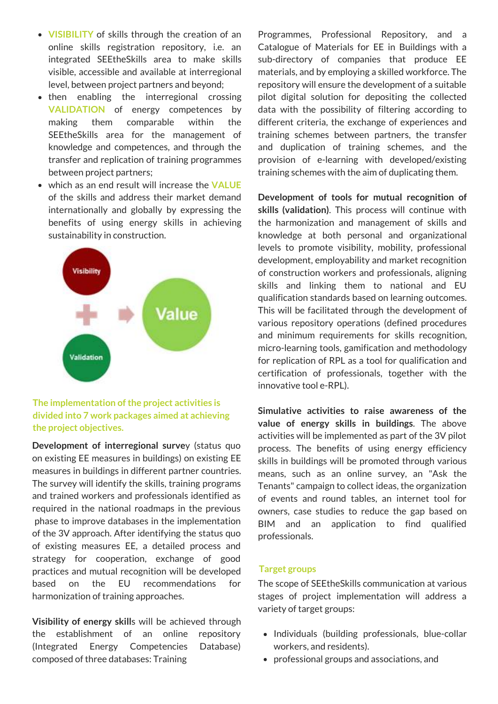- **VISIBILITY** of skills through the creation of an online skills registration repository, i.e. an integrated SEEtheSkills area to make skills visible, accessible and available at interregional level, between project partners and beyond;
- then enabling the interregional crossing **VALIDATION** of energy competences by making them comparable within the SEEtheSkills area for the management of knowledge and competences, and through the transfer and replication of training programmes between project partners;
- which as an end result will increase the **VALUE** of the skills and address their market demand internationally and globally by expressing the benefits of using energy skills in achieving sustainability in construction.



#### **The implementation ofthe project activities is divided into 7 work packages aimed at achieving the project objectives.**

**Development of interregional surve**y (status quo on existing EE measures in buildings) on existing EE measures in buildings in different partner countries. The survey will identify the skills, training programs and trained workers and professionals identified as required in the national roadmaps in the previous phase to improve databases in the implementation of the 3V approach. After identifying the status quo of existing measures EE, a detailed process and strategy for cooperation, exchange of good practices and mutual recognition will be developed based on the EU recommendations for harmonization of training approaches.

**Visibility of energy skill**s will be achieved through the establishment of an online repository (Integrated Energy Competencies Database) composed of three databases: Training

Programmes, Professional Repository, and a Catalogue of Materials for EE in Buildings with a sub-directory of companies that produce EE materials, and by employing a skilled workforce. The repository will ensure the development of a suitable pilot digital solution for depositing the collected data with the possibility of filtering according to different criteria, the exchange of experiences and training schemes between partners, the transfer and duplication of training schemes, and the provision of e-learning with developed/existing training schemes with the aim of duplicating them.

**Development of tools for mutual recognition of skills (validation)**. This process will continue with the harmonization and management of skills and knowledge at both personal and organizational levels to promote visibility, mobility, professional development, employability and market recognition of construction workers and professionals, aligning skills and linking them to national and EU qualification standards based on learning outcomes. This will be facilitated through the development of various repository operations (defined procedures and minimum requirements for skills recognition, micro-learning tools, gamification and methodology for replication of RPL as a tool for qualification and certification of professionals, together with the innovative tool e-RPL).

**Simulative activities to raise awareness of the value of energy skills in buildings**. The above activities will be implemented as part of the 3V pilot process. The benefits of using energy efficiency skills in buildings will be promoted through various means, such as an online survey, an "Ask the Tenants" campaign to collect ideas, the organization of events and round tables, an internet tool for owners, case studies to reduce the gap based on BIM and an application to find qualified professionals.

#### **Target groups**

The scope of SEEtheSkills communication at various stages of project implementation will address a variety of target groups:

- Individuals (building professionals, blue-collar workers, and residents).
- professional groups and associations, and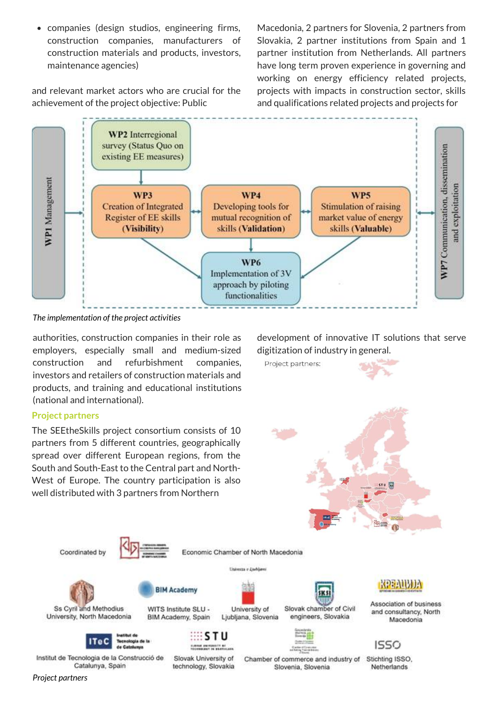companies (design studios, engineering firms, construction companies, manufacturers of construction materials and products, investors, maintenance agencies)

and relevant market actors who are crucial for the achievement of the project objective: Public

Macedonia, 2 partners for Slovenia, 2 partners from Slovakia, 2 partner institutions from Spain and 1 partner institution from Netherlands. All partners have long term proven experience in governing and working on energy efficiency related projects, projects with impacts in construction sector, skills and qualifications related projects and projects for



*The implementation of the project activities*

authorities, construction companies in their role as employers, especially small and medium-sized construction and refurbishment companies, investors and retailers of construction materials and products, and training and educational institutions (national and international).

#### **Project partners**

The SEEtheSkills project consortium consists of 10 partners from 5 different countries, geographically spread over different European regions, from the South and South-East to the Central part and North-West of Europe. The country participation is also well distributed with 3 partners from Northern

development of innovative IT solutions that serve digitization of industry in general.



Association of business and consultancy, North Macedonia



Netherlands

Institut de Tecnologia de la Construcció de Catalunya, Spain

Coordinated by

Ss Cyril and Methodius

University, North Macedonia

Slovak University of technology, Slovakia

ς тu University of

Ljubljana, Slovenia

**BIM Academy** 

WITS Institute SLU -

BIM Academy, Spain

Chamber of commerce and industry of Slovenia, Slovenia

Slovak chamber of Civil

engineers, Slovakia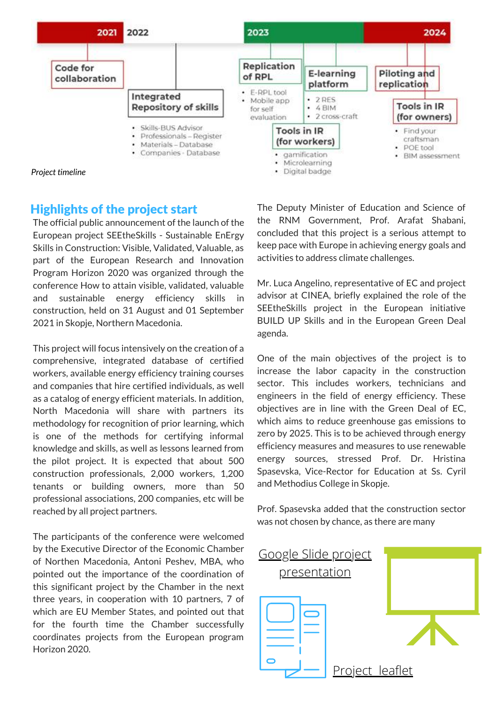

#### Highlights of the project start

The official public announcement of the launch of the European project SEEtheSkills - Sustainable EnErgy Skills in Construction: Visible, Validated, Valuable, as part of the European Research and Innovation Program Horizon 2020 was organized through the conference How to attain visible, validated, valuable and sustainable energy efficiency skills in construction, held on 31 August and 01 September 2021 in Skopje, Northern Macedonia.

This project will focus intensively on the creation of a comprehensive, integrated database of certified workers, available energy efficiency training courses and companies that hire certified individuals, as well as a catalog of energy efficient materials. In addition, North Macedonia will share with partners its methodology for recognition of prior learning, which is one of the methods for certifying informal knowledge and skills, as well as lessons learned from the pilot project. It is expected that about 500 construction professionals, 2,000 workers, 1,200 tenants or building owners, more than 50 professional associations, 200 companies, etc will be reached by all project partners.

The participants of the conference were welcomed by the Executive Director of the Economic Chamber of Northen Macedonia, Antoni Peshev, MBA, who pointed out the importance of the coordination of this significant project by the Chamber in the next three years, in cooperation with 10 partners, 7 of which are EU Member States, and pointed out that for the fourth time the Chamber successfully coordinates projects from the European program Horizon 2020.

The Deputy Minister of Education and Science of the RNM Government, Prof. Arafat Shabani, concluded that this project is a serious attempt to keep pace with Europe in achieving energy goals and activities to address climate challenges.

Mr. Luca Angelino, representative of EC and project advisor at CINEA, briefly explained the role of the SEEtheSkills project in the European initiative BUILD UP Skills and in the European Green Deal agenda.

One of the main objectives of the project is to increase the labor capacity in the construction sector. This includes workers, technicians and engineers in the field of energy efficiency. These objectives are in line with the Green Deal of EC, which aims to reduce greenhouse gas emissions to zero by 2025. This is to be achieved through energy efficiency measures and measures to use renewable energy sources, stressed Prof. Dr. Hristina Spasevska, Vice-Rector for Education at Ss. Cyril and Methodius College in Skopje.

Prof. Spasevska added that the construction sector was not chosen by chance, as there are many

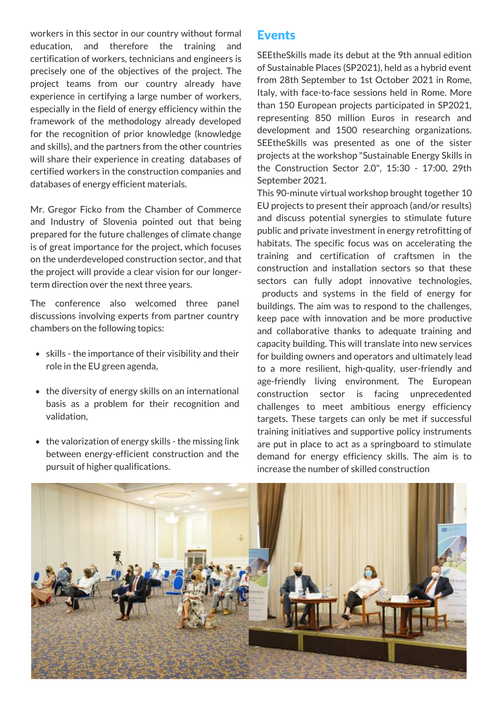workers in this sector in our country without formal education, and therefore the training and certification of workers, technicians and engineers is precisely one of the objectives of the project. The project teams from our country already have experience in certifying a large number of workers, especially in the field of energy efficiency within the framework of the methodology already developed for the recognition of prior knowledge (knowledge and skills), and the partners from the other countries will share their experience in creating databases of certified workers in the construction companies and databases of energy efficient materials.

Mr. Gregor Ficko from the Chamber of Commerce and Industry of Slovenia pointed out that being prepared for the future challenges of climate change is of great importance for the project, which focuses on the underdeveloped construction sector, and that the project will provide a clear vision for our longerterm direction over the next three years.

The conference also welcomed three panel discussions involving experts from partner country chambers on the following topics:

- skills the importance of their visibility and their role in the EU green agenda,
- the diversity of energy skills on an international basis as a problem for their recognition and validation,
- the valorization of energy skills the missing link between energy-efficient construction and the pursuit of higher qualifications.

#### Events

SEEtheSkills made its debut at the 9th annual edition of Sustainable Places (SP2021), held as a hybrid event from 28th September to 1st October 2021 in Rome, Italy, with face-to-face sessions held in Rome. More than 150 European projects participated in SP2021, representing 850 million Euros in research and development and 1500 researching organizations. SEEtheSkills was presented as one of the sister projects at the workshop "Sustainable Energy Skills in the Construction Sector 2.0", 15:30 - 17:00, 29th September 2021.

This 90-minute virtual workshop brought together 10 EU projects to present their approach (and/or results) and discuss potential synergies to stimulate future public and private investment in energy retrofitting of habitats. The specific focus was on accelerating the training and certification of craftsmen in the construction and installation sectors so that these sectors can fully adopt innovative technologies, products and systems in the field of energy for buildings. The aim was to respond to the challenges, keep pace with innovation and be more productive and collaborative thanks to adequate training and capacity building. This will translate into new services for building owners and operators and ultimately lead to a more resilient, high-quality, user-friendly and age-friendly living environment. The European construction sector is facing unprecedented challenges to meet ambitious energy efficiency targets. These targets can only be met if successful training initiatives and supportive policy instruments are put in place to act as a springboard to stimulate demand for energy efficiency skills. The aim is to increase the number of skilled construction